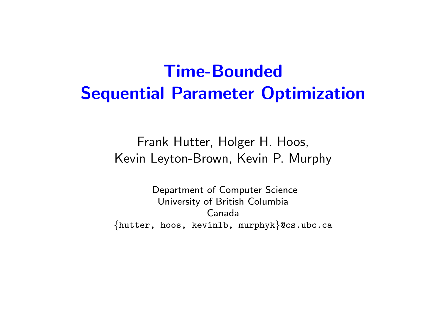## Time-Bounded Sequential Parameter Optimization

Frank Hutter, Holger H. Hoos, Kevin Leyton-Brown, Kevin P. Murphy

Department of Computer Science University of British Columbia Canada {hutter, hoos, kevinlb, murphyk}@cs.ubc.ca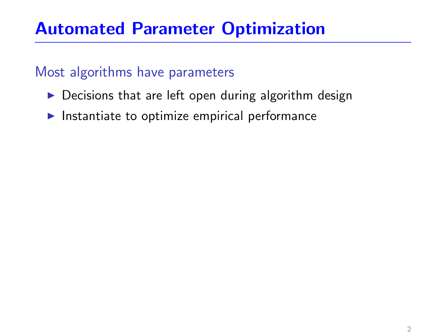### Automated Parameter Optimization

#### Most algorithms have parameters

- $\triangleright$  Decisions that are left open during algorithm design
- $\blacktriangleright$  Instantiate to optimize empirical performance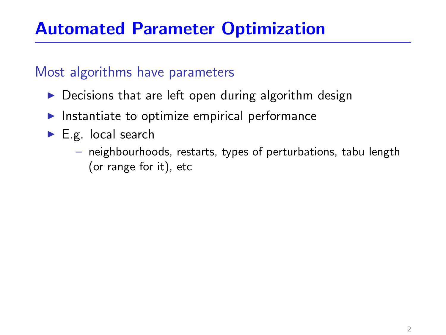### Automated Parameter Optimization

#### Most algorithms have parameters

- $\triangleright$  Decisions that are left open during algorithm design
- $\blacktriangleright$  Instantiate to optimize empirical performance
- $\blacktriangleright$  E.g. local search
	- neighbourhoods, restarts, types of perturbations, tabu length (or range for it), etc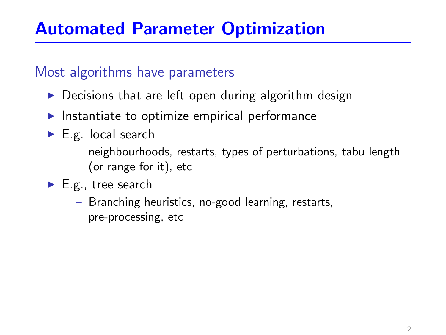### Automated Parameter Optimization

#### Most algorithms have parameters

- $\triangleright$  Decisions that are left open during algorithm design
- $\blacktriangleright$  Instantiate to optimize empirical performance
- $\blacktriangleright$  E.g. local search
	- neighbourhoods, restarts, types of perturbations, tabu length (or range for it), etc
- $\blacktriangleright$  E.g., tree search
	- Branching heuristics, no-good learning, restarts, pre-processing, etc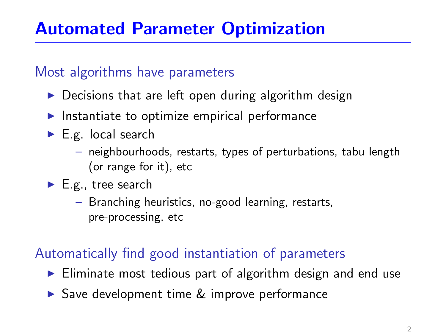#### Most algorithms have parameters

- $\triangleright$  Decisions that are left open during algorithm design
- $\blacktriangleright$  Instantiate to optimize empirical performance
- $\blacktriangleright$  E.g. local search
	- neighbourhoods, restarts, types of perturbations, tabu length (or range for it), etc
- $\blacktriangleright$  E.g., tree search
	- Branching heuristics, no-good learning, restarts, pre-processing, etc

### Automatically find good instantiation of parameters

- $\triangleright$  Eliminate most tedious part of algorithm design and end use
- $\triangleright$  Save development time  $\&$  improve performance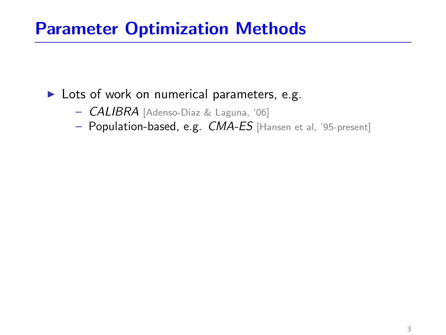### Parameter Optimization Methods

#### $\blacktriangleright$  Lots of work on numerical parameters, e.g.

- CALIBRA [Adenso-Diaz & Laguna, '06]
- Population-based, e.g. CMA-ES [Hansen et al, '95-present]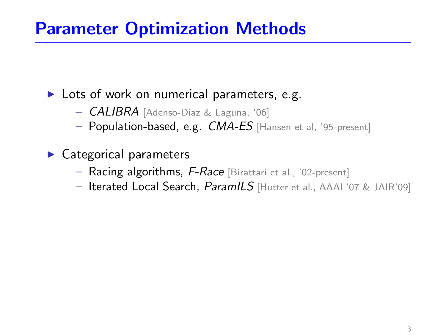### Parameter Optimization Methods

 $\blacktriangleright$  Lots of work on numerical parameters, e.g.

- **CALIBRA** [Adenso-Diaz & Laguna, '06]
- Population-based, e.g. CMA-ES [Hansen et al, '95-present]
- $\blacktriangleright$  Categorical parameters
	- Racing algorithms, F-Race [Birattari et al., '02-present]
	- Iterated Local Search, ParamILS [Hutter et al., AAAI '07 & JAIR'09]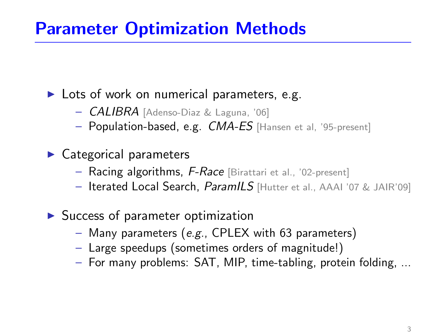### Parameter Optimization Methods

 $\blacktriangleright$  Lots of work on numerical parameters, e.g.

- CALIBRA [Adenso-Diaz & Laguna, '06]
- Population-based, e.g. CMA-ES [Hansen et al, '95-present]
- $\blacktriangleright$  Categorical parameters
	- Racing algorithms, F-Race [Birattari et al., '02-present]
	- Iterated Local Search, ParamILS [Hutter et al., AAAI '07 & JAIR'09]
- $\blacktriangleright$  Success of parameter optimization
	- Many parameters (e.g., CPLEX with 63 parameters)
	- Large speedups (sometimes orders of magnitude!)
	- For many problems: SAT, MIP, time-tabling, protein folding, ...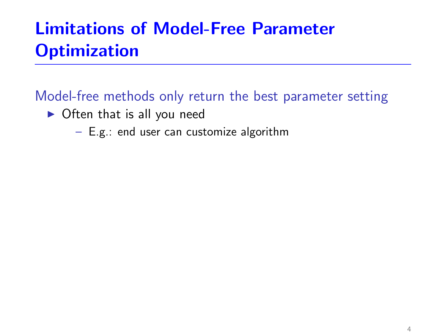## Limitations of Model-Free Parameter **Optimization**

Model-free methods only return the best parameter setting

- $\triangleright$  Often that is all you need
	- E.g.: end user can customize algorithm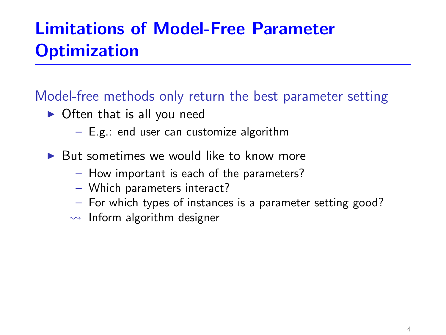## Limitations of Model-Free Parameter **Optimization**

### Model-free methods only return the best parameter setting

- $\triangleright$  Often that is all you need
	- E.g.: end user can customize algorithm
- $\triangleright$  But sometimes we would like to know more
	- How important is each of the parameters?
	- Which parameters interact?
	- For which types of instances is a parameter setting good?
	- $\rightarrow$  Inform algorithm designer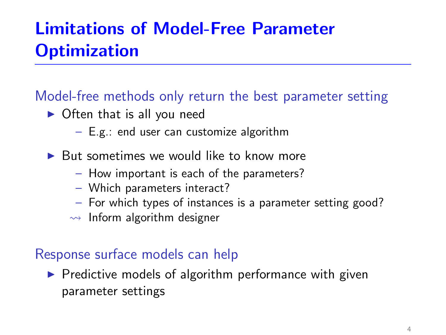## Limitations of Model-Free Parameter **Optimization**

### Model-free methods only return the best parameter setting

- $\triangleright$  Often that is all you need
	- E.g.: end user can customize algorithm
- $\triangleright$  But sometimes we would like to know more
	- How important is each of the parameters?
	- Which parameters interact?
	- For which types of instances is a parameter setting good?
	- $\rightarrow$  Inform algorithm designer

#### Response surface models can help

 $\triangleright$  Predictive models of algorithm performance with given parameter settings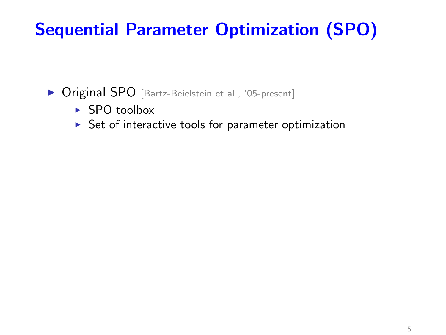- ▶ Original SPO [Bartz-Beielstein et al., '05-present]
	- $\triangleright$  SPO toolbox
	- $\triangleright$  Set of interactive tools for parameter optimization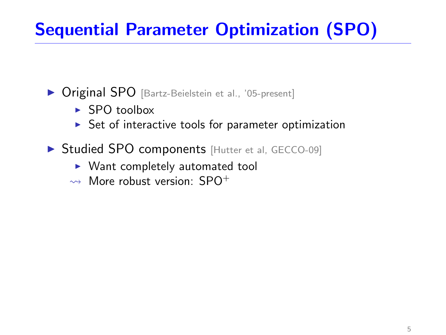- **Original SPO** [Bartz-Beielstein et al., '05-present]
	- $\blacktriangleright$  SPO toolbox
	- $\triangleright$  Set of interactive tools for parameter optimization
- ▶ Studied SPO components [Hutter et al, GECCO-09]
	- $\triangleright$  Want completely automated tool
	- $\rightsquigarrow$  More robust version: SPO<sup>+</sup>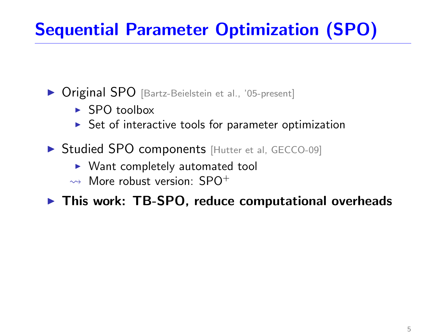- ▶ Original SPO [Bartz-Beielstein et al., '05-present]
	- $\blacktriangleright$  SPO toolbox
	- $\triangleright$  Set of interactive tools for parameter optimization
- **In Studied SPO components** [Hutter et al, GECCO-09]
	- $\triangleright$  Want completely automated tool
	- $\rightarrow$  More robust version: SPO<sup>+</sup>

 $\triangleright$  This work: TB-SPO, reduce computational overheads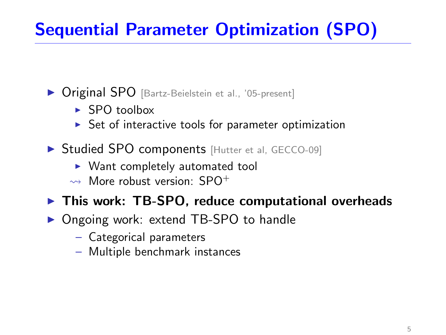- ▶ Original SPO [Bartz-Beielstein et al., '05-present]
	- $\blacktriangleright$  SPO toolbox
	- $\triangleright$  Set of interactive tools for parameter optimization
- ▶ Studied SPO components [Hutter et al, GECCO-09]
	- $\blacktriangleright$  Want completely automated tool
	- $\rightarrow$  More robust version: SPO<sup>+</sup>
- $\triangleright$  This work: TB-SPO, reduce computational overheads
- ▶ Ongoing work: extend TB-SPO to handle
	- Categorical parameters
	- Multiple benchmark instances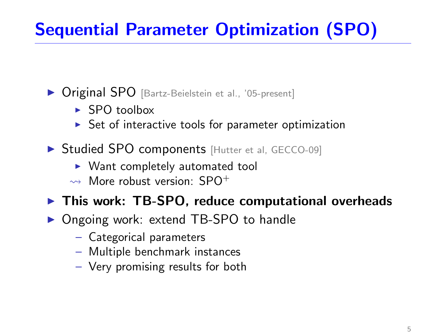- ▶ Original SPO [Bartz-Beielstein et al., '05-present]
	- $\blacktriangleright$  SPO toolbox
	- $\triangleright$  Set of interactive tools for parameter optimization
- ▶ Studied SPO components [Hutter et al, GECCO-09]
	- $\blacktriangleright$  Want completely automated tool
	- $\rightarrow$  More robust version: SPO<sup>+</sup>

### $\triangleright$  This work: TB-SPO, reduce computational overheads

- ▶ Ongoing work: extend TB-SPO to handle
	- Categorical parameters
	- Multiple benchmark instances
	- Very promising results for both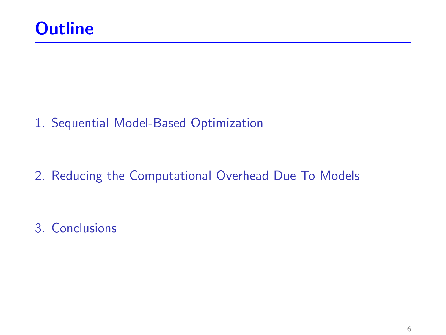1. [Sequential Model-Based Optimization](#page-17-0)

2. [Reducing the Computational Overhead Due To Models](#page-30-0)

3. [Conclusions](#page-65-0)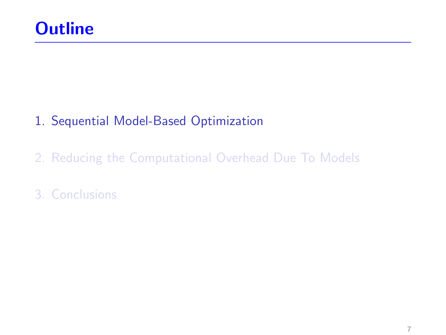### 1. [Sequential Model-Based Optimization](#page-17-0)

2. [Reducing the Computational Overhead Due To Models](#page-30-0)

### <span id="page-17-0"></span>3. [Conclusions](#page-65-0)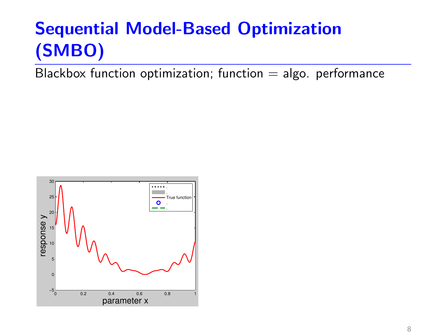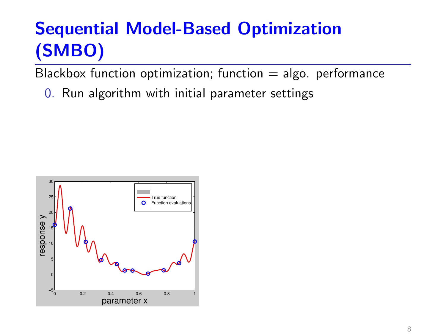Blackbox function optimization; function  $=$  algo. performance

0. Run algorithm with initial parameter settings

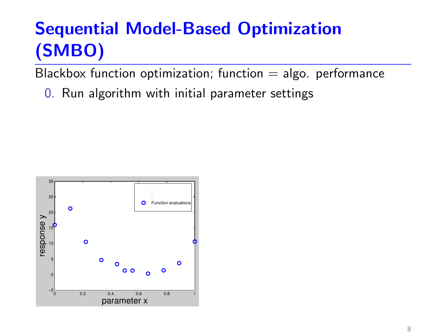Blackbox function optimization; function  $=$  algo. performance

0. Run algorithm with initial parameter settings

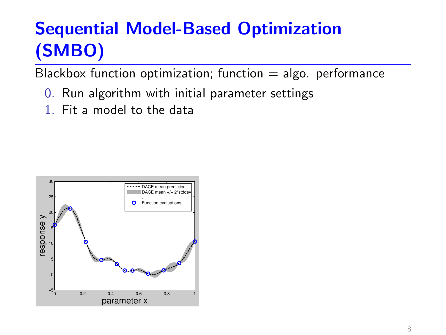- 0. Run algorithm with initial parameter settings
- 1. Fit a model to the data

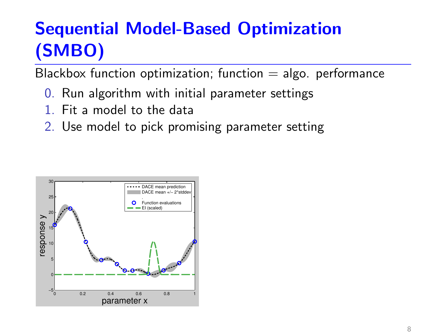- 0. Run algorithm with initial parameter settings
- 1. Fit a model to the data
- 2. Use model to pick promising parameter setting

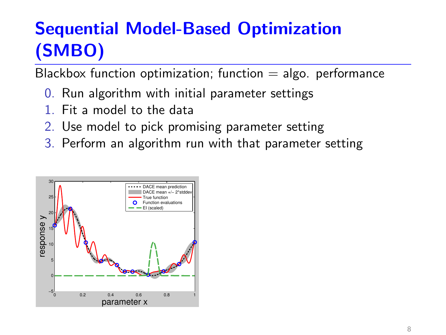- 0. Run algorithm with initial parameter settings
- 1. Fit a model to the data
- 2. Use model to pick promising parameter setting
- 3. Perform an algorithm run with that parameter setting

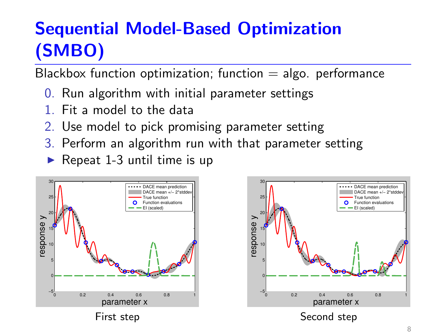- 0. Run algorithm with initial parameter settings
- 1. Fit a model to the data
- 2. Use model to pick promising parameter setting
- 3. Perform an algorithm run with that parameter setting
- $\blacktriangleright$  Repeat 1-3 until time is up



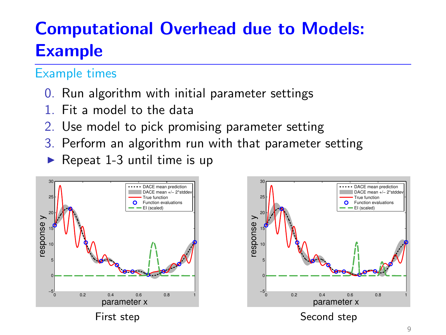- 0. Run algorithm with initial parameter settings
- 1. Fit a model to the data
- 2. Use model to pick promising parameter setting
- 3. Perform an algorithm run with that parameter setting
- $\blacktriangleright$  Repeat 1-3 until time is up



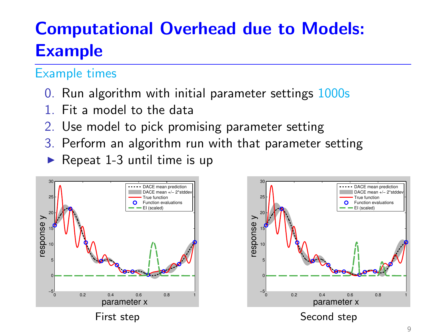- 0. Run algorithm with initial parameter settings 1000s
- 1. Fit a model to the data
- 2. Use model to pick promising parameter setting
- 3. Perform an algorithm run with that parameter setting
- $\blacktriangleright$  Repeat 1-3 until time is up



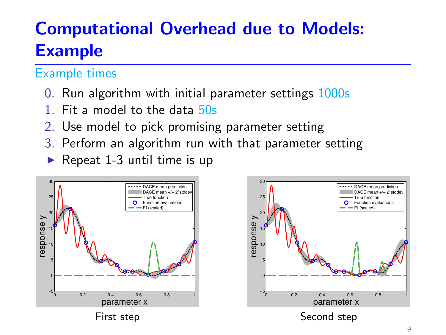- 0. Run algorithm with initial parameter settings 1000s
- 1. Fit a model to the data 50s
- 2. Use model to pick promising parameter setting
- 3. Perform an algorithm run with that parameter setting
- $\blacktriangleright$  Repeat 1-3 until time is up



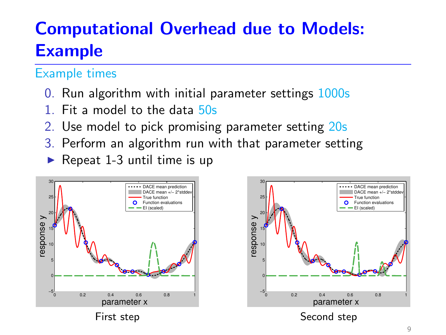- 0. Run algorithm with initial parameter settings 1000s
- 1. Fit a model to the data 50s
- 2. Use model to pick promising parameter setting 20s
- 3. Perform an algorithm run with that parameter setting
- $\blacktriangleright$  Repeat 1-3 until time is up



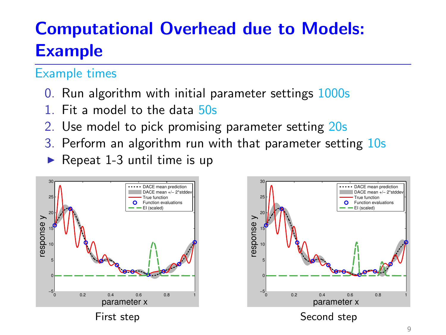- 0. Run algorithm with initial parameter settings 1000s
- 1. Fit a model to the data 50s
- 2. Use model to pick promising parameter setting 20s
- 3. Perform an algorithm run with that parameter setting 10s
- $\blacktriangleright$  Repeat 1-3 until time is up



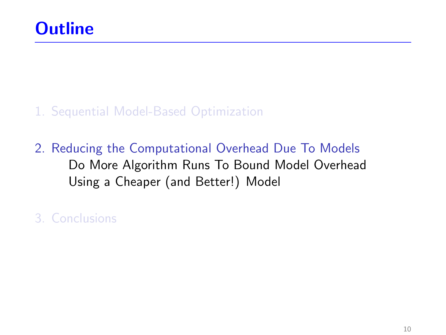#### 1. [Sequential Model-Based Optimization](#page-17-0)

2. [Reducing the Computational Overhead Due To Models](#page-30-0) [Do More Algorithm Runs To Bound Model Overhead](#page-31-0) [Using a Cheaper \(and Better!\) Model](#page-48-0)

<span id="page-30-0"></span>3. [Conclusions](#page-65-0)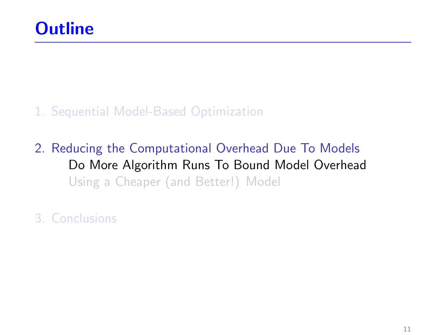#### 1. [Sequential Model-Based Optimization](#page-17-0)

2. [Reducing the Computational Overhead Due To Models](#page-30-0) [Do More Algorithm Runs To Bound Model Overhead](#page-31-0) [Using a Cheaper \(and Better!\) Model](#page-48-0)

<span id="page-31-0"></span>3. [Conclusions](#page-65-0)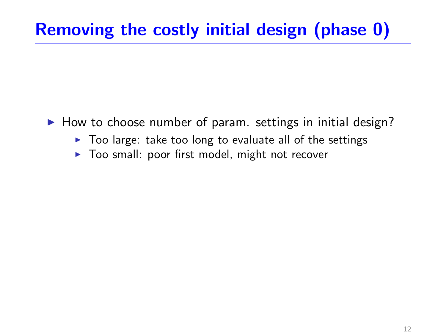## Removing the costly initial design (phase 0)

- $\blacktriangleright$  How to choose number of param. settings in initial design?
	- $\triangleright$  Too large: take too long to evaluate all of the settings
	- $\triangleright$  Too small: poor first model, might not recover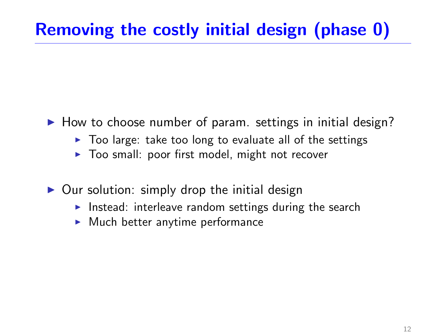## Removing the costly initial design (phase 0)

- $\blacktriangleright$  How to choose number of param. settings in initial design?
	- $\triangleright$  Too large: take too long to evaluate all of the settings
	- $\triangleright$  Too small: poor first model, might not recover
- $\triangleright$  Our solution: simply drop the initial design
	- Instead: interleave random settings during the search
	- $\blacktriangleright$  Much better anytime performance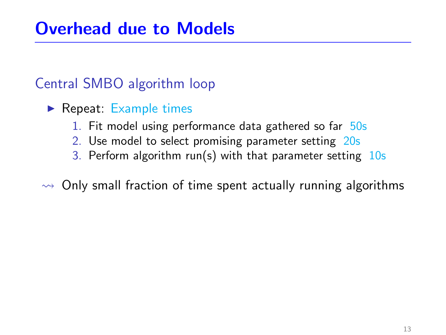### Central SMBO algorithm loop

- $\blacktriangleright$  Repeat: Example times
	- 1. Fit model using performance data gathered so far 50s
	- 2. Use model to select promising parameter setting 20s
	- 3. Perform algorithm run(s) with that parameter setting  $10s$

#### $\rightarrow$  Only small fraction of time spent actually running algorithms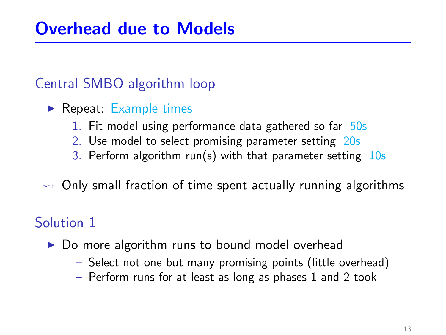### Central SMBO algorithm loop

- $\blacktriangleright$  Repeat: Example times
	- 1. Fit model using performance data gathered so far 50s
	- 2. Use model to select promising parameter setting 20s
	- 3. Perform algorithm run(s) with that parameter setting  $10s$

 $\rightarrow$  Only small fraction of time spent actually running algorithms

### Solution 1

- $\triangleright$  Do more algorithm runs to bound model overhead
	- Select not one but many promising points (little overhead)
	- Perform runs for at least as long as phases 1 and 2 took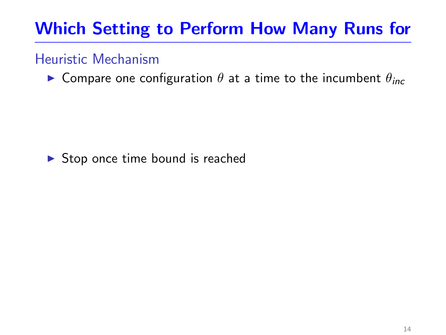#### Heuristic Mechanism

**In Compare one configuration**  $\theta$  **at a time to the incumbent**  $\theta_{inc}$ 

#### $\triangleright$  Stop once time bound is reached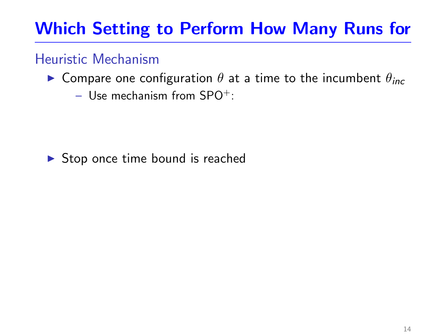#### Heuristic Mechanism

- **In Compare one configuration**  $\theta$  **at a time to the incumbent**  $\theta_{inc}$ 
	- Use mechanism from  $SPO^+$ :

 $\triangleright$  Stop once time bound is reached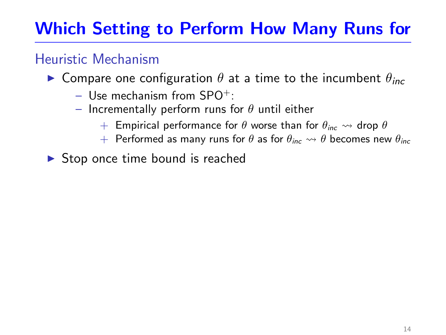### Heuristic Mechanism

- **In Compare one configuration**  $\theta$  **at a time to the incumbent**  $\theta_{inc}$ 
	- $-$  Use mechanism from SPO<sup>+</sup>:
	- Incrementally perform runs for  $\theta$  until either
		- $+$  Empirical performance for  $\theta$  worse than for  $\theta_{inc} \rightsquigarrow$  drop  $\theta$
		- + Performed as many runs for  $\theta$  as for  $\theta_{inc} \rightsquigarrow \theta$  becomes new  $\theta_{inc}$
- $\triangleright$  Stop once time bound is reached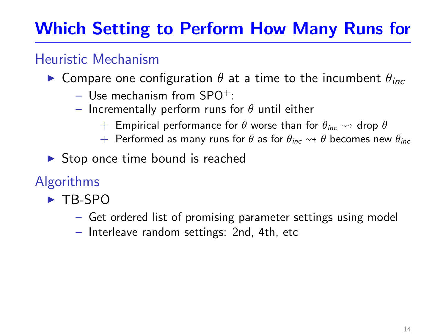### Heuristic Mechanism

- **In Compare one configuration**  $\theta$  **at a time to the incumbent**  $\theta_{inc}$ 
	- $-$  Use mechanism from SPO<sup>+</sup>:
	- Incrementally perform runs for  $\theta$  until either
		- $+$  Empirical performance for  $\theta$  worse than for  $\theta_{inc} \rightsquigarrow$  drop  $\theta$
		- + Performed as many runs for  $\theta$  as for  $\theta_{inc} \rightsquigarrow \theta$  becomes new  $\theta_{inc}$
- $\triangleright$  Stop once time bound is reached
- Algorithms
	- $\blacktriangleright$  TB-SPO
		- Get ordered list of promising parameter settings using model
		- Interleave random settings: 2nd, 4th, etc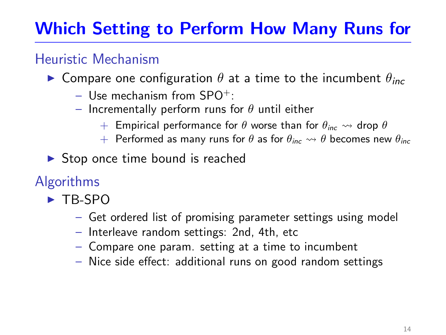### Heuristic Mechanism

- **In Compare one configuration**  $\theta$  **at a time to the incumbent**  $\theta_{inc}$ 
	- $-$  Use mechanism from SPO<sup>+</sup>:
	- Incrementally perform runs for  $\theta$  until either
		- $+$  Empirical performance for  $\theta$  worse than for  $\theta_{inc} \rightsquigarrow$  drop  $\theta$
		- + Performed as many runs for  $\theta$  as for  $\theta_{inc} \rightsquigarrow \theta$  becomes new  $\theta_{inc}$
- $\triangleright$  Stop once time bound is reached

## Algorithms

- $\blacktriangleright$  TB-SPO
	- Get ordered list of promising parameter settings using model
	- Interleave random settings: 2nd, 4th, etc
	- Compare one param. setting at a time to incumbent
	- Nice side effect: additional runs on good random settings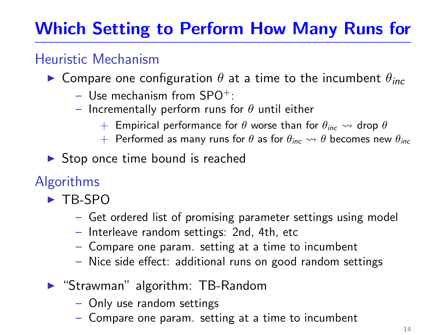### Heuristic Mechanism

- **In Compare one configuration**  $\theta$  **at a time to the incumbent**  $\theta_{inc}$ 
	- $-$  Use mechanism from SPO<sup>+</sup>:
	- Incrementally perform runs for  $\theta$  until either
		- $+$  Empirical performance for  $\theta$  worse than for  $\theta_{inc} \rightsquigarrow$  drop  $\theta$
		- + Performed as many runs for  $\theta$  as for  $\theta_{inc} \rightsquigarrow \theta$  becomes new  $\theta_{inc}$
- $\triangleright$  Stop once time bound is reached
- Algorithms
	- $\blacktriangleright$  TB-SPO
		- Get ordered list of promising parameter settings using model
		- Interleave random settings: 2nd, 4th, etc
		- Compare one param. setting at a time to incumbent
		- Nice side effect: additional runs on good random settings
	- $\blacktriangleright$  "Strawman" algorithm: TB-Random
		- Only use random settings
		- Compare one param. setting at a time to incumbent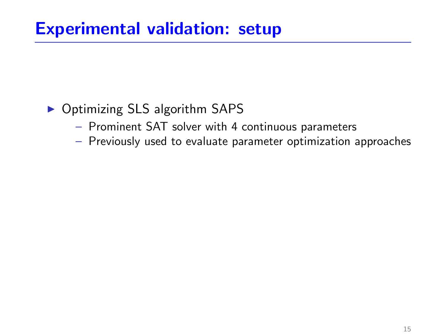### ▶ Optimizing SLS algorithm SAPS

- Prominent SAT solver with 4 continuous parameters
- Previously used to evaluate parameter optimization approaches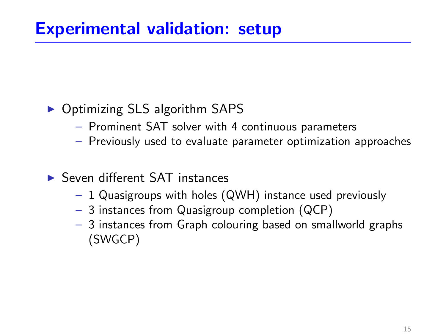### ▶ Optimizing SLS algorithm SAPS

- Prominent SAT solver with 4 continuous parameters
- Previously used to evaluate parameter optimization approaches
- $\blacktriangleright$  Seven different SAT instances
	- 1 Quasigroups with holes (QWH) instance used previously
	- 3 instances from Quasigroup completion (QCP)
	- 3 instances from Graph colouring based on smallworld graphs (SWGCP)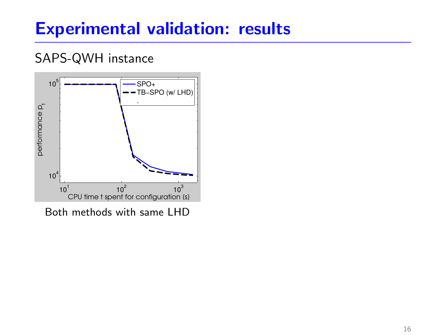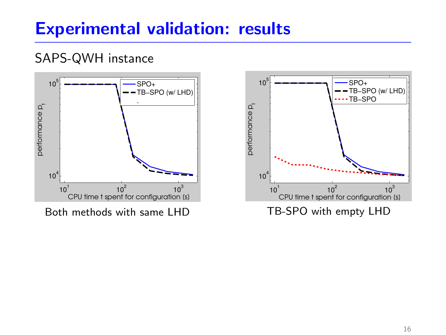

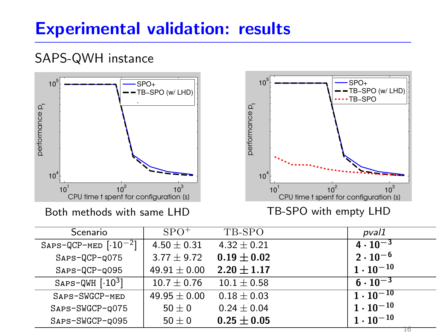

Both methods with same LHD

TB-SPO with empty LHD

| Scenario                    | $SPO^+$          | TB-SPO          | pval1              |
|-----------------------------|------------------|-----------------|--------------------|
| $SAPS-QCP-MED$ $[·10-2]$    | $4.50 \pm 0.31$  | $4.32 + 0.21$   | $4 \cdot 10^{-3}$  |
| $SAPS-QCP-Q075$             | $3.77 \pm 9.72$  | $0.19 + 0.02$   | $2 \cdot 10^{-6}$  |
| $SAPS-QCP-Q095$             | $49.91 \pm 0.00$ | $2.20 + 1.17$   | $1 \cdot 10^{-10}$ |
| $SAPS-QWH$ [ $\cdot 10^3$ ] | $10.7 \pm 0.76$  | $10.1 \pm 0.58$ | $6 \cdot 10^{-3}$  |
| SAPS-SWGCP-MED              | $49.95 \pm 0.00$ | $0.18 + 0.03$   | $1 \cdot 10^{-10}$ |
| SAPS-SWGCP-0075             | $50\pm 0$        | $0.24 \pm 0.04$ | $1 \cdot 10^{-10}$ |
| SAPS-SWGCP-0095             | $50\pm 0$        | $0.25 + 0.05$   | $1 \cdot 10^{-10}$ |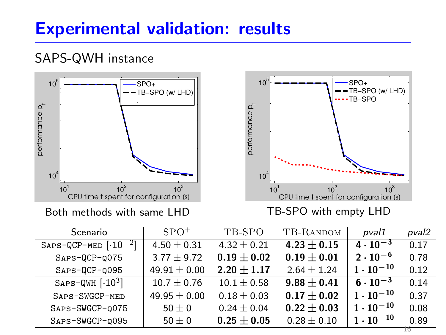

Both methods with same LHD

TB-SPO with empty LHD

| Scenario                    | $SPO^+$          | TB-SPO          | TB-RANDOM       | pval1              | pval2 |
|-----------------------------|------------------|-----------------|-----------------|--------------------|-------|
| $SAPS-QCP-MED$ $[·10-2]$    | $4.50 \pm 0.31$  | $4.32 \pm 0.21$ | $4.23 + 0.15$   | $4 \cdot 10^{-3}$  | 0.17  |
| $SAPS-QCP-Q075$             | $3.77 \pm 9.72$  | $0.19 + 0.02$   | $0.19 \pm 0.01$ | $2 \cdot 10^{-6}$  | 0.78  |
| $SAPS-QCP-Q095$             | $49.91 \pm 0.00$ | $2.20 \pm 1.17$ | $2.64 \pm 1.24$ | $1 \cdot 10^{-10}$ | 0.12  |
| $SAPS-QWH$ [ $\cdot 10^3$ ] | $10.7 \pm 0.76$  | $10.1 \pm 0.58$ | $9.88 + 0.41$   | $6 \cdot 10^{-3}$  | 0.14  |
| SAPS-SWGCP-MED              | $49.95 \pm 0.00$ | $0.18 + 0.03$   | $0.17 + 0.02$   | $1 \cdot 10^{-10}$ | 0.37  |
| SAPS-SWGCP-0075             | $50\pm 0$        | $0.24 \pm 0.04$ | $0.22 \pm 0.03$ | $1 \cdot 10^{-10}$ | 0.08  |
| SAPS-SWGCP-0095             | $50\pm 0$        | $0.25 + 0.05$   | $0.28 \pm 0.10$ | $1 \cdot 10^{-10}$ | 0.89  |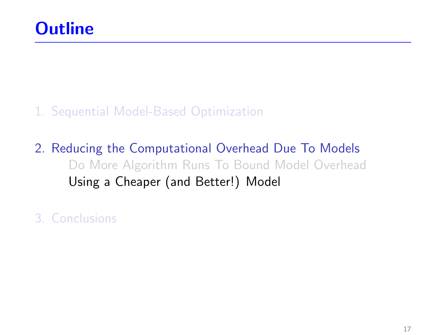#### 1. [Sequential Model-Based Optimization](#page-17-0)

2. [Reducing the Computational Overhead Due To Models](#page-30-0) [Do More Algorithm Runs To Bound Model Overhead](#page-31-0) [Using a Cheaper \(and Better!\) Model](#page-48-0)

<span id="page-48-0"></span>3. [Conclusions](#page-65-0)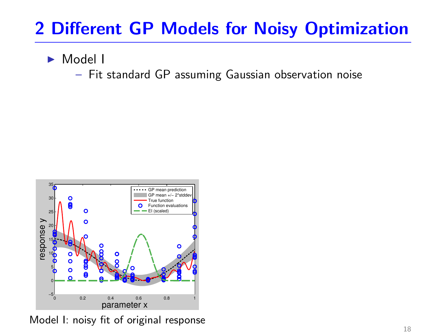<sup>I</sup> Model I

– Fit standard GP assuming Gaussian observation noise



Model I: noisy fit of original response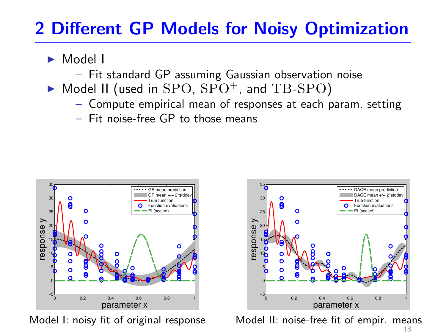- <sup>I</sup> Model I
	- Fit standard GP assuming Gaussian observation noise
- $\triangleright$  Model II (used in SPO, SPO<sup>+</sup>, and TB-SPO)
	- Compute empirical mean of responses at each param. setting
	- Fit noise-free GP to those means



Model I: noisy fit of original response



Model II: noise-free fit of empir. means 18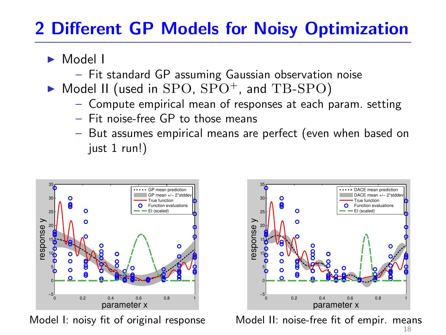- <sup>I</sup> Model I
	- Fit standard GP assuming Gaussian observation noise
- $\triangleright$  Model II (used in SPO, SPO<sup>+</sup>, and TB-SPO)
	- Compute empirical mean of responses at each param. setting
	- Fit noise-free GP to those means
	- But assumes empirical means are perfect (even when based on just 1 run!)



Model I: noisy fit of original response



Model II: noise-free fit of empir. means 18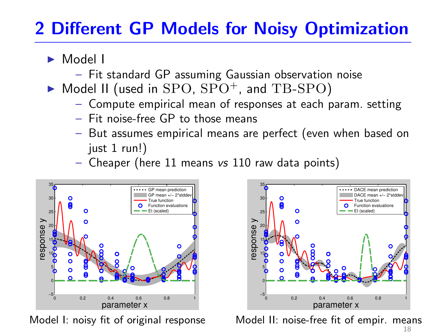- <sup>I</sup> Model I
	- Fit standard GP assuming Gaussian observation noise
- $\triangleright$  Model II (used in SPO, SPO<sup>+</sup>, and TB-SPO)
	- Compute empirical mean of responses at each param. setting
	- Fit noise-free GP to those means
	- But assumes empirical means are perfect (even when based on just 1 run!)
	- Cheaper (here 11 means vs 110 raw data points)



Model I: noisy fit of original response



Model II: noise-free fit of empir. means 18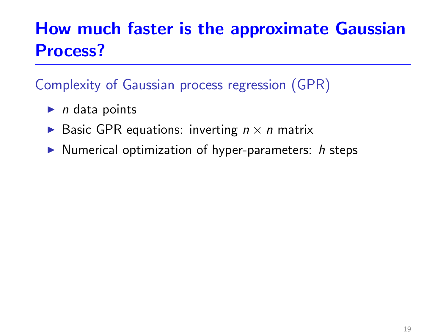Complexity of Gaussian process regression (GPR)

- $\blacktriangleright$  *n* data points
- Basic GPR equations: inverting  $n \times n$  matrix
- $\triangleright$  Numerical optimization of hyper-parameters: h steps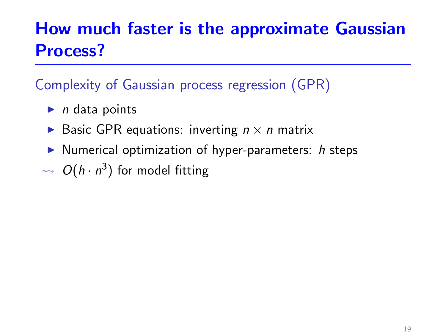### Complexity of Gaussian process regression (GPR)

- $\blacktriangleright$  n data points
- Basic GPR equations: inverting  $n \times n$  matrix
- $\triangleright$  Numerical optimization of hyper-parameters: h steps
- $\rightsquigarrow O(h\cdot n^3)$  for model fitting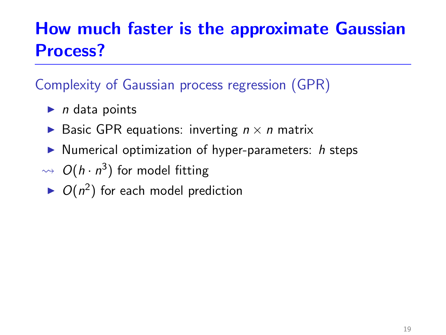### Complexity of Gaussian process regression (GPR)

- $\blacktriangleright$  n data points
- Basic GPR equations: inverting  $n \times n$  matrix
- $\triangleright$  Numerical optimization of hyper-parameters: h steps
- $\rightsquigarrow O(h\cdot n^3)$  for model fitting
- $\triangleright$   $O(n^2)$  for each model prediction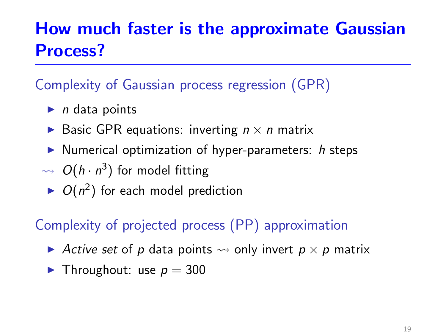### Complexity of Gaussian process regression (GPR)

- $\blacktriangleright$  n data points
- Basic GPR equations: inverting  $n \times n$  matrix
- $\triangleright$  Numerical optimization of hyper-parameters: h steps
- $\rightsquigarrow O(h\cdot n^3)$  for model fitting
	- $\triangleright$   $O(n^2)$  for each model prediction

### Complexity of projected process (PP) approximation

- Active set of p data points  $\rightsquigarrow$  only invert  $p \times p$  matrix
- $\blacktriangleright$  Throughout: use  $p = 300$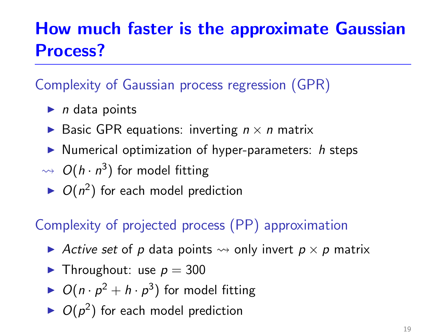### Complexity of Gaussian process regression (GPR)

- $\blacktriangleright$  n data points
- Basic GPR equations: inverting  $n \times n$  matrix
- $\triangleright$  Numerical optimization of hyper-parameters: h steps
- $\rightsquigarrow O(h\cdot n^3)$  for model fitting
	- $\triangleright$   $O(n^2)$  for each model prediction

### Complexity of projected process (PP) approximation

- Active set of p data points  $\rightsquigarrow$  only invert  $p \times p$  matrix
- $\blacktriangleright$  Throughout: use  $p = 300$
- $\triangleright$   $O(n \cdot p^2 + h \cdot p^3)$  for model fitting
- $\triangleright$   $O(p^2)$  for each model prediction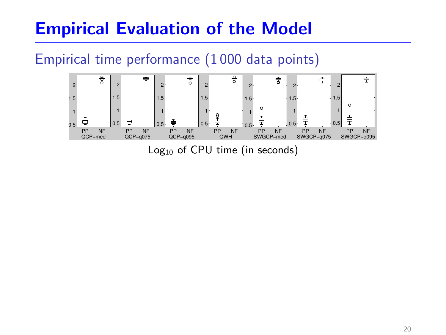# Empirical Evaluation of the Model

### Empirical time performance (1 000 data points)



Log<sub>10</sub> of CPU time (in seconds)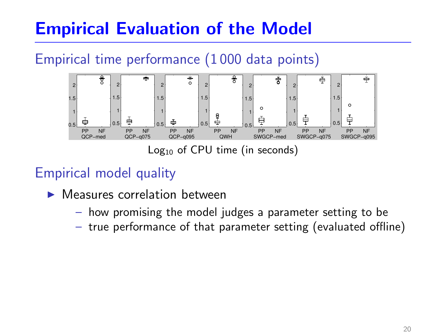# Empirical Evaluation of the Model

### Empirical time performance (1 000 data points)



 $Log<sub>10</sub>$  of CPU time (in seconds)

### Empirical model quality

- **I** Measures correlation between
	- how promising the model judges a parameter setting to be
	- true performance of that parameter setting (evaluated offline)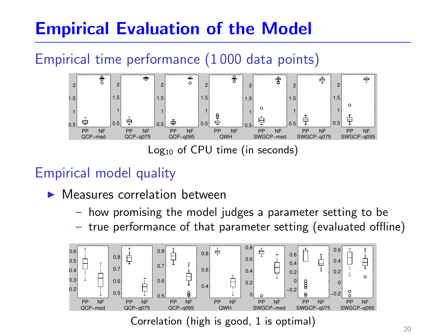# Empirical Evaluation of the Model

### Empirical time performance (1 000 data points)



 $Log<sub>10</sub>$  of CPU time (in seconds)

### Empirical model quality

- **I** Measures correlation between
	- how promising the model judges a parameter setting to be
	- true performance of that parameter setting (evaluated offline)



Correlation (high is good, 1 is optimal)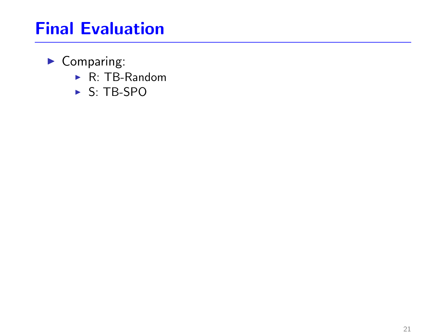- $\blacktriangleright$  Comparing:
	- $\triangleright$  R: TB-Random
	- $\triangleright$  S: TB-SPO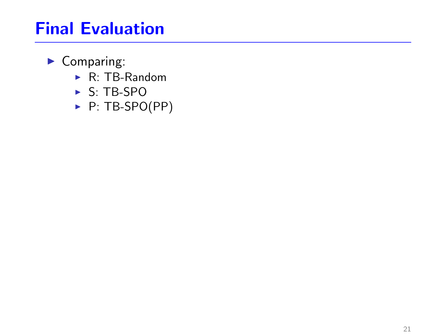- $\blacktriangleright$  Comparing:
	- $\triangleright$  R: TB-Random
	- $\triangleright$  S: TB-SPO
	- $\blacktriangleright$  P: TB-SPO(PP)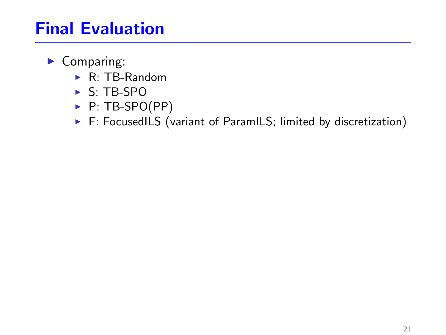- $\blacktriangleright$  Comparing:
	- $\blacktriangleright$  R: TB-Random
	- $\triangleright$  S: TB-SPO
	- $\blacktriangleright$  P: TB-SPO(PP)
	- $\triangleright$  F: FocusedILS (variant of ParamILS; limited by discretization)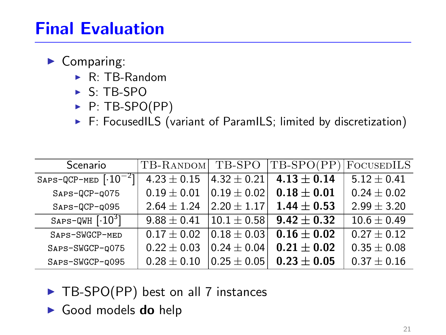- $\blacktriangleright$  Comparing:
	- $\blacktriangleright$  R: TB-Random
	- $\triangleright$  S: TB-SPO
	- $\blacktriangleright$  P: TB-SPO(PP)
	- $\triangleright$  F: FocusedILS (variant of ParamILS; limited by discretization)

| Scenario                                   | TB-RANDOM       | TB-SPO          | TB-SPO(PP)      | <b>FOCUSEDILS</b> |
|--------------------------------------------|-----------------|-----------------|-----------------|-------------------|
| SAPS-QCP-MED $\lceil \cdot 10^{-2} \rceil$ | $4.23 \pm 0.15$ | $4.32 \pm 0.21$ | $4.13 \pm 0.14$ | $5.12 + 0.41$     |
| SAPS-QCP-Q075                              | $0.19 \pm 0.01$ | $0.19 \pm 0.02$ | $0.18 \pm 0.01$ | $0.24 \pm 0.02$   |
| SAPS-QCP-q095                              | $2.64 + 1.24$   | $2.20 + 1.17$   | $1.44 \pm 0.53$ | $2.99 \pm 3.20$   |
| SAPS-QWH $\lceil \cdot 10^3 \rceil$        | $9.88 \pm 0.41$ | $ 10.1\pm0.58 $ | $9.42 + 0.32$   | $10.6 \pm 0.49$   |
| SAPS-SWGCP-MED                             | $0.17 \pm 0.02$ | $0.18 \pm 0.03$ | $0.16 \pm 0.02$ | $0.27 \pm 0.12$   |
| SAPS-SWGCP-0075                            | $0.22 \pm 0.03$ | $0.24 \pm 0.04$ | $0.21 \pm 0.02$ | $0.35 \pm 0.08$   |
| SAPS-SWGCP-0095                            | $0.28 \pm 0.10$ | $0.25 \pm 0.05$ | $0.23 \pm 0.05$ | $0.37 \pm 0.16$   |

- $\triangleright$  TB-SPO(PP) best on all 7 instances
- $\blacktriangleright$  Good models do help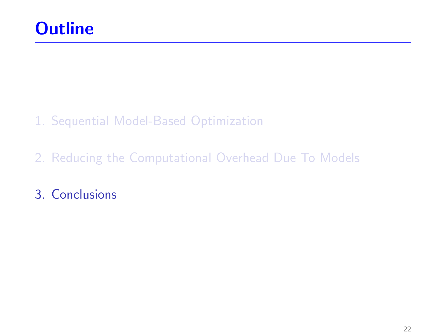- 1. [Sequential Model-Based Optimization](#page-17-0)
- 2. [Reducing the Computational Overhead Due To Models](#page-30-0)
- <span id="page-65-0"></span>3. [Conclusions](#page-65-0)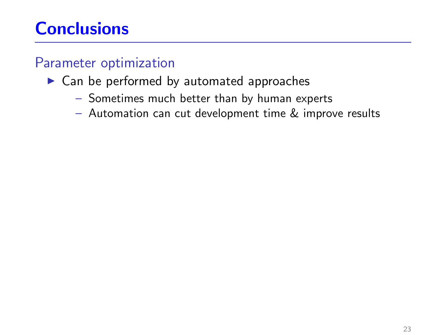#### Parameter optimization

#### $\blacktriangleright$  Can be performed by automated approaches

- Sometimes much better than by human experts
- Automation can cut development time & improve results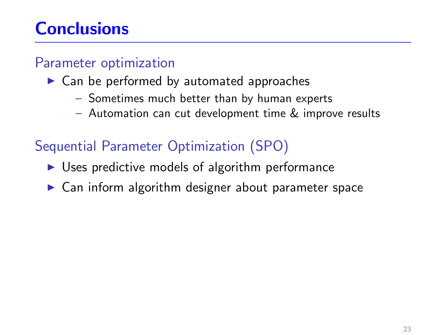#### Parameter optimization

- $\blacktriangleright$  Can be performed by automated approaches
	- Sometimes much better than by human experts
	- Automation can cut development time & improve results

### Sequential Parameter Optimization (SPO)

- $\triangleright$  Uses predictive models of algorithm performance
- $\triangleright$  Can inform algorithm designer about parameter space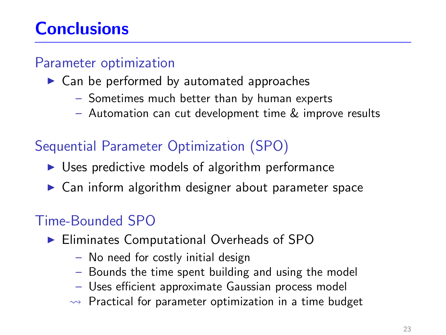#### Parameter optimization

- $\blacktriangleright$  Can be performed by automated approaches
	- Sometimes much better than by human experts
	- Automation can cut development time & improve results

## Sequential Parameter Optimization (SPO)

- $\triangleright$  Uses predictive models of algorithm performance
- $\triangleright$  Can inform algorithm designer about parameter space

## Time-Bounded SPO

- $\blacktriangleright$  Eliminates Computational Overheads of SPO
	- No need for costly initial design
	- Bounds the time spent building and using the model
	- Uses efficient approximate Gaussian process model
	- $\rightarrow$  Practical for parameter optimization in a time budget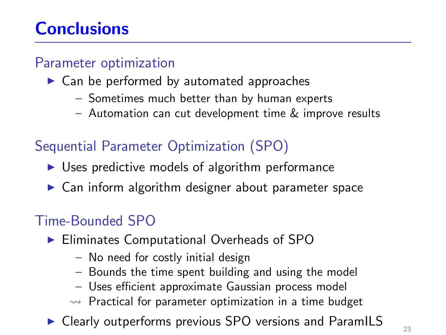#### Parameter optimization

- $\blacktriangleright$  Can be performed by automated approaches
	- Sometimes much better than by human experts
	- Automation can cut development time & improve results

## Sequential Parameter Optimization (SPO)

- $\triangleright$  Uses predictive models of algorithm performance
- $\triangleright$  Can inform algorithm designer about parameter space

### Time-Bounded SPO

- $\blacktriangleright$  Eliminates Computational Overheads of SPO
	- No need for costly initial design
	- Bounds the time spent building and using the model
	- Uses efficient approximate Gaussian process model
	- $\rightarrow$  Practical for parameter optimization in a time budget
- Clearly outperforms previous SPO versions and ParamILS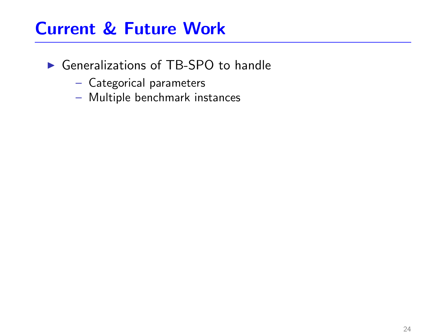## Current & Future Work

- $\triangleright$  Generalizations of TB-SPO to handle
	- Categorical parameters
	- Multiple benchmark instances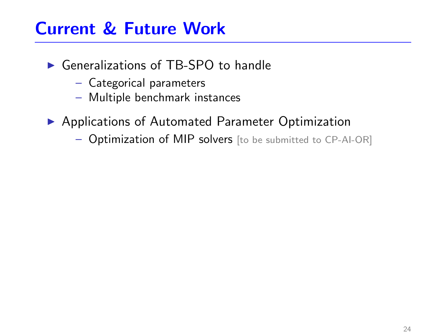## Current & Future Work

- $\triangleright$  Generalizations of TB-SPO to handle
	- Categorical parameters
	- Multiple benchmark instances
- ▶ Applications of Automated Parameter Optimization
	- Optimization of MIP solvers [to be submitted to CP-AI-OR]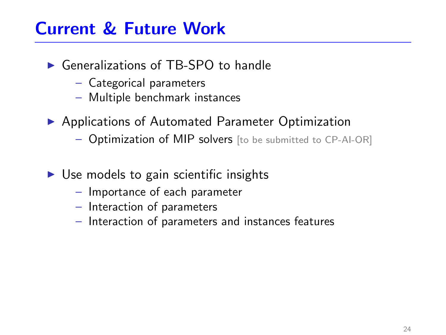## Current & Future Work

- $\triangleright$  Generalizations of TB-SPO to handle
	- Categorical parameters
	- Multiple benchmark instances
- ▶ Applications of Automated Parameter Optimization
	- Optimization of MIP solvers [to be submitted to CP-AI-OR]
- $\triangleright$  Use models to gain scientific insights
	- Importance of each parameter
	- Interaction of parameters
	- Interaction of parameters and instances features